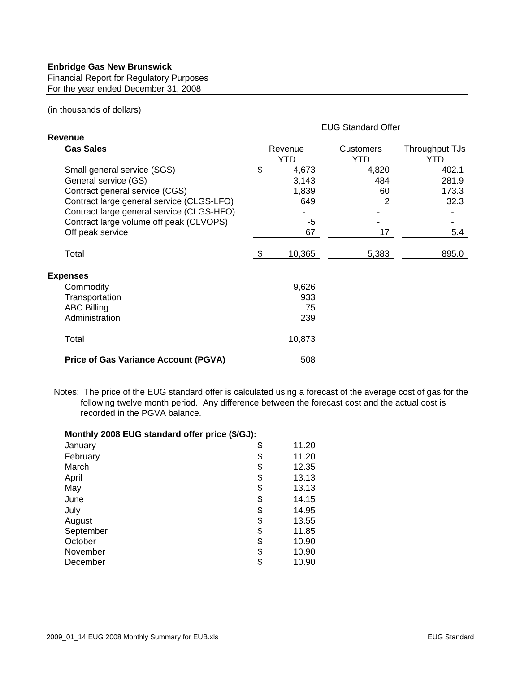## **Enbridge Gas New Brunswick**

Financial Report for Regulatory Purposes For the year ended December 31, 2008

## (in thousands of dollars)

|                                                                                                                                                                                                                                                |                       | <b>EUG Standard Offer</b>                  |                                |                                        |  |  |  |
|------------------------------------------------------------------------------------------------------------------------------------------------------------------------------------------------------------------------------------------------|-----------------------|--------------------------------------------|--------------------------------|----------------------------------------|--|--|--|
| <b>Revenue</b>                                                                                                                                                                                                                                 |                       |                                            |                                |                                        |  |  |  |
| <b>Gas Sales</b>                                                                                                                                                                                                                               | Revenue<br><b>YTD</b> |                                            | <b>Customers</b><br><b>YTD</b> | Throughput TJs<br>YTD                  |  |  |  |
| Small general service (SGS)<br>General service (GS)<br>Contract general service (CGS)<br>Contract large general service (CLGS-LFO)<br>Contract large general service (CLGS-HFO)<br>Contract large volume off peak (CLVOPS)<br>Off peak service | \$                    | 4,673<br>3,143<br>1,839<br>649<br>-5<br>67 | 4,820<br>484<br>60<br>2<br>17  | 402.1<br>281.9<br>173.3<br>32.3<br>5.4 |  |  |  |
| Total                                                                                                                                                                                                                                          |                       | 10,365                                     | 5,383                          | 895.0                                  |  |  |  |
| <b>Expenses</b>                                                                                                                                                                                                                                |                       |                                            |                                |                                        |  |  |  |
| Commodity<br>Transportation<br><b>ABC Billing</b><br>Administration                                                                                                                                                                            |                       | 9,626<br>933<br>75<br>239                  |                                |                                        |  |  |  |
| Total                                                                                                                                                                                                                                          |                       | 10,873                                     |                                |                                        |  |  |  |
| <b>Price of Gas Variance Account (PGVA)</b>                                                                                                                                                                                                    |                       | 508                                        |                                |                                        |  |  |  |

Notes: The price of the EUG standard offer is calculated using a forecast of the average cost of gas for the following twelve month period. Any difference between the forecast cost and the actual cost is recorded in the PGVA balance.

| Monthly 2008 EUG standard offer price (\$/GJ): |             |
|------------------------------------------------|-------------|
| January                                        | \$<br>11.20 |
| February                                       | \$<br>11.20 |
| March                                          | \$<br>12.35 |
| April                                          | \$<br>13.13 |
| May                                            | \$<br>13.13 |
| June                                           | \$<br>14.15 |
| July                                           | \$<br>14.95 |
| August                                         | \$<br>13.55 |
| September                                      | \$<br>11.85 |
| October                                        | \$<br>10.90 |
| November                                       | \$<br>10.90 |
| December                                       | \$<br>10.90 |